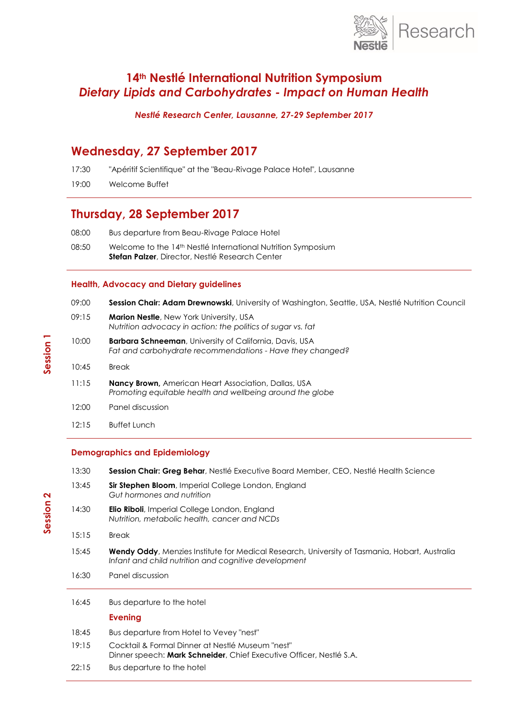

# **14th Nestlé International Nutrition Symposium** *Dietary Lipids and Carbohydrates - Impact on Human Health*

*Nestlé Research Center, Lausanne, 27-29 September 2017*

## **Wednesday, 27 September 2017**

17:30 "Apéritif Scientifique" at the "Beau-Rivage Palace Hotel", Lausanne

19:00 Welcome Buffet

## **Thursday, 28 September 2017**

08:50 Welcome to the 14<sup>th</sup> Nestlé International Nutrition Symposium **Stefan Palzer**, Director, Nestlé Research Center

### **Health, Advocacy and Dietary guidelines**

| 09:00 | Session Chair: Adam Drewnowski, University of Washington, Seattle, USA, Nestlé Nutrition Council                            |
|-------|-----------------------------------------------------------------------------------------------------------------------------|
| 09:15 | <b>Marion Nestle, New York University, USA</b><br>Nutrition advocacy in action: the politics of sugar vs. fat               |
| 10:00 | <b>Barbara Schneeman, University of California, Davis, USA</b><br>Fat and carbohydrate recommendations - Have they changed? |
| 10:45 | <b>Break</b>                                                                                                                |
| 11:15 | <b>Nancy Brown, American Heart Association, Dallas, USA</b><br>Promoting equitable health and wellbeing around the globe    |
| 12:00 | Panel discussion                                                                                                            |
| 12:15 | <b>Buffet Lunch</b>                                                                                                         |

## **Demographics and Epidemiology**

| 13:30 | Session Chair: Greg Behar, Nestlé Executive Board Member, CEO, Nestlé Health Science                                                                          |
|-------|---------------------------------------------------------------------------------------------------------------------------------------------------------------|
| 13:45 | Sir Stephen Bloom, Imperial College London, England<br>Gut hormones and nutrition                                                                             |
| 14:30 | <b>Elio Riboli</b> , Imperial College London, England<br>Nutrition, metabolic health, cancer and NCDs                                                         |
| 15:15 | <b>Break</b>                                                                                                                                                  |
| 15:45 | <b>Wendy Oddy</b> , Menzies Institute for Medical Research, University of Tasmania, Hobart, Australia<br>Infant and child nutrition and cognitive development |
| 16:30 | Panel discussion                                                                                                                                              |
| 16:45 | Bus departure to the hotel                                                                                                                                    |
|       | Evening                                                                                                                                                       |
| 18:45 | Bus departure from Hotel to Vevey "nest"                                                                                                                      |
| 19:15 | Cocktail & Formal Dinner at Nestlé Museum "nest"<br>Dinner speech: <b>Mark Schneider</b> , Chief Executive Officer, Nestlé S.A.                               |
| 22:15 | Bus departure to the hotel                                                                                                                                    |

**Session 2**